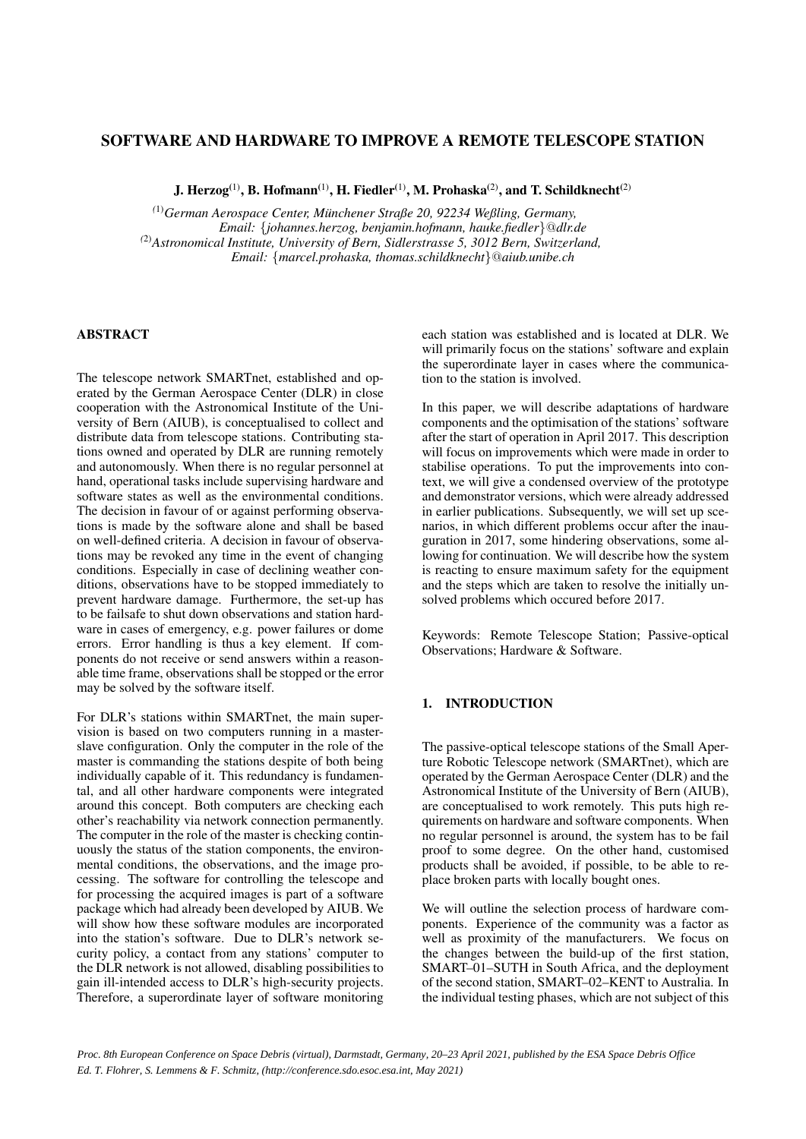# SOFTWARE AND HARDWARE TO IMPROVE A REMOTE TELESCOPE STATION

J. Herzog<sup>(1)</sup>, B. Hofmann<sup>(1)</sup>, H. Fiedler<sup>(1)</sup>, M. Prohaska<sup>(2)</sup>, and T. Schildknecht<sup>(2)</sup>

*(*1)*German Aerospace Center, Munchener Straße 20, 92234 Weßling, Germany, ¨ Email:* {*johannes.herzog, benjamin.hofmann, hauke.fiedler*}@*dlr.de (*2)*Astronomical Institute, University of Bern, Sidlerstrasse 5, 3012 Bern, Switzerland, Email:* {*marcel.prohaska, thomas.schildknecht*}@*aiub.unibe.ch*

# **ABSTRACT**

The telescope network SMARTnet, established and operated by the German Aerospace Center (DLR) in close cooperation with the Astronomical Institute of the University of Bern (AIUB), is conceptualised to collect and distribute data from telescope stations. Contributing stations owned and operated by DLR are running remotely and autonomously. When there is no regular personnel at hand, operational tasks include supervising hardware and software states as well as the environmental conditions. The decision in favour of or against performing observations is made by the software alone and shall be based on well-defined criteria. A decision in favour of observations may be revoked any time in the event of changing conditions. Especially in case of declining weather conditions, observations have to be stopped immediately to prevent hardware damage. Furthermore, the set-up has to be failsafe to shut down observations and station hardware in cases of emergency, e.g. power failures or dome errors. Error handling is thus a key element. If components do not receive or send answers within a reasonable time frame, observations shall be stopped or the error may be solved by the software itself.

For DLR's stations within SMARTnet, the main supervision is based on two computers running in a masterslave configuration. Only the computer in the role of the master is commanding the stations despite of both being individually capable of it. This redundancy is fundamental, and all other hardware components were integrated around this concept. Both computers are checking each other's reachability via network connection permanently. The computer in the role of the master is checking continuously the status of the station components, the environmental conditions, the observations, and the image processing. The software for controlling the telescope and for processing the acquired images is part of a software package which had already been developed by AIUB. We will show how these software modules are incorporated into the station's software. Due to DLR's network security policy, a contact from any stations' computer to the DLR network is not allowed, disabling possibilities to gain ill-intended access to DLR's high-security projects. Therefore, a superordinate layer of software monitoring each station was established and is located at DLR. We will primarily focus on the stations' software and explain the superordinate layer in cases where the communication to the station is involved.

In this paper, we will describe adaptations of hardware components and the optimisation of the stations' software after the start of operation in April 2017. This description will focus on improvements which were made in order to stabilise operations. To put the improvements into context, we will give a condensed overview of the prototype and demonstrator versions, which were already addressed in earlier publications. Subsequently, we will set up scenarios, in which different problems occur after the inauguration in 2017, some hindering observations, some allowing for continuation. We will describe how the system is reacting to ensure maximum safety for the equipment and the steps which are taken to resolve the initially unsolved problems which occured before 2017.

Keywords: Remote Telescope Station; Passive-optical Observations; Hardware & Software.

# 1. INTRODUCTION

The passive-optical telescope stations of the Small Aperture Robotic Telescope network (SMARTnet), which are operated by the German Aerospace Center (DLR) and the Astronomical Institute of the University of Bern (AIUB), are conceptualised to work remotely. This puts high requirements on hardware and software components. When no regular personnel is around, the system has to be fail proof to some degree. On the other hand, customised products shall be avoided, if possible, to be able to replace broken parts with locally bought ones.

We will outline the selection process of hardware components. Experience of the community was a factor as well as proximity of the manufacturers. We focus on the changes between the build-up of the first station, SMART–01–SUTH in South Africa, and the deployment of the second station, SMART–02–KENT to Australia. In the individual testing phases, which are not subject of this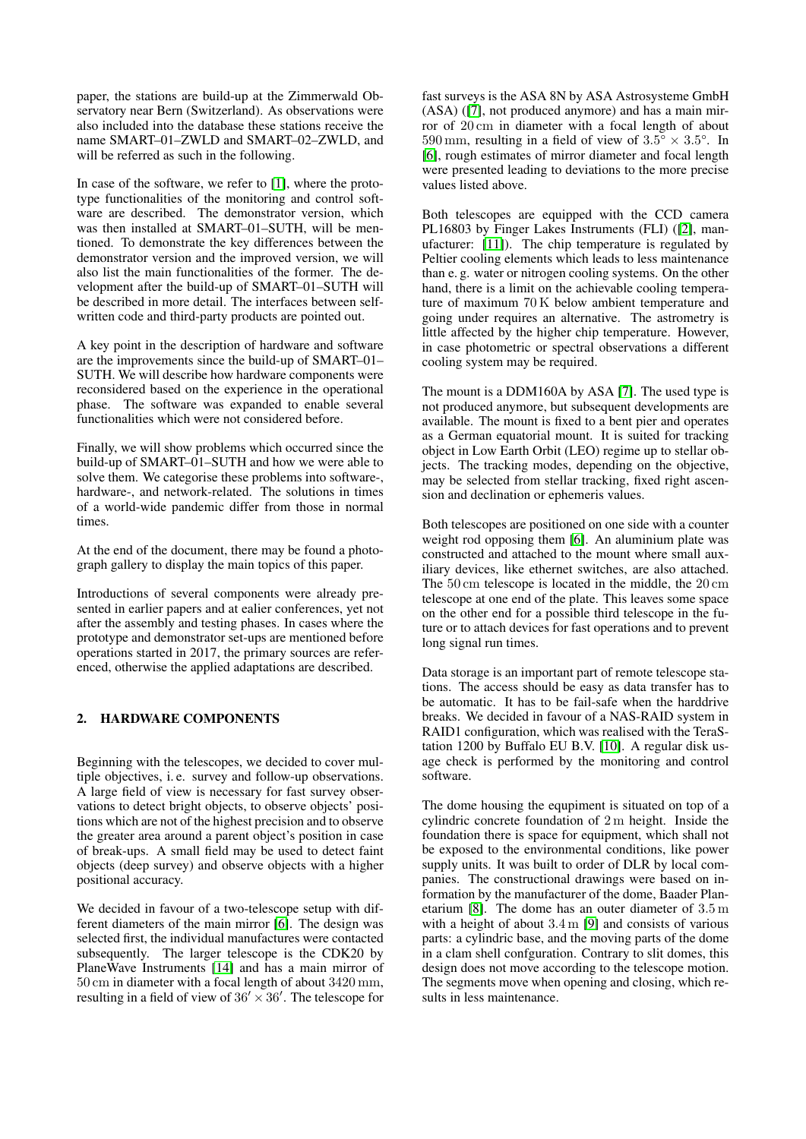paper, the stations are build-up at the Zimmerwald Observatory near Bern (Switzerland). As observations were also included into the database these stations receive the name SMART–01–ZWLD and SMART–02–ZWLD, and will be referred as such in the following.

In case of the software, we refer to [\[1\]](#page-8-0), where the prototype functionalities of the monitoring and control software are described. The demonstrator version, which was then installed at SMART–01–SUTH, will be mentioned. To demonstrate the key differences between the demonstrator version and the improved version, we will also list the main functionalities of the former. The development after the build-up of SMART–01–SUTH will be described in more detail. The interfaces between selfwritten code and third-party products are pointed out.

A key point in the description of hardware and software are the improvements since the build-up of SMART–01– SUTH. We will describe how hardware components were reconsidered based on the experience in the operational phase. The software was expanded to enable several functionalities which were not considered before.

Finally, we will show problems which occurred since the build-up of SMART–01–SUTH and how we were able to solve them. We categorise these problems into software-, hardware-, and network-related. The solutions in times of a world-wide pandemic differ from those in normal times.

At the end of the document, there may be found a photograph gallery to display the main topics of this paper.

Introductions of several components were already presented in earlier papers and at ealier conferences, yet not after the assembly and testing phases. In cases where the prototype and demonstrator set-ups are mentioned before operations started in 2017, the primary sources are referenced, otherwise the applied adaptations are described.

## 2. HARDWARE COMPONENTS

Beginning with the telescopes, we decided to cover multiple objectives, i. e. survey and follow-up observations. A large field of view is necessary for fast survey observations to detect bright objects, to observe objects' positions which are not of the highest precision and to observe the greater area around a parent object's position in case of break-ups. A small field may be used to detect faint objects (deep survey) and observe objects with a higher positional accuracy.

We decided in favour of a two-telescope setup with different diameters of the main mirror [\[6\]](#page-8-1). The design was selected first, the individual manufactures were contacted subsequently. The larger telescope is the CDK20 by PlaneWave Instruments [\[14\]](#page-8-2) and has a main mirror of 50 cm in diameter with a focal length of about 3420 mm, resulting in a field of view of  $36' \times 36'$ . The telescope for

fast surveys is the ASA 8N by ASA Astrosysteme GmbH (ASA) ([\[7\]](#page-8-3), not produced anymore) and has a main mirror of 20 cm in diameter with a focal length of about 590 mm, resulting in a field of view of  $3.5^{\circ} \times 3.5^{\circ}$ . In [\[6\]](#page-8-1), rough estimates of mirror diameter and focal length were presented leading to deviations to the more precise values listed above.

Both telescopes are equipped with the CCD camera PL16803 by Finger Lakes Instruments (FLI) ([\[2\]](#page-8-4), manufacturer: [\[11\]](#page-8-5)). The chip temperature is regulated by Peltier cooling elements which leads to less maintenance than e. g. water or nitrogen cooling systems. On the other hand, there is a limit on the achievable cooling temperature of maximum 70 K below ambient temperature and going under requires an alternative. The astrometry is little affected by the higher chip temperature. However, in case photometric or spectral observations a different cooling system may be required.

The mount is a DDM160A by ASA [\[7\]](#page-8-3). The used type is not produced anymore, but subsequent developments are available. The mount is fixed to a bent pier and operates as a German equatorial mount. It is suited for tracking object in Low Earth Orbit (LEO) regime up to stellar objects. The tracking modes, depending on the objective, may be selected from stellar tracking, fixed right ascension and declination or ephemeris values.

Both telescopes are positioned on one side with a counter weight rod opposing them [\[6\]](#page-8-1). An aluminium plate was constructed and attached to the mount where small auxiliary devices, like ethernet switches, are also attached. The 50 cm telescope is located in the middle, the 20 cm telescope at one end of the plate. This leaves some space on the other end for a possible third telescope in the future or to attach devices for fast operations and to prevent long signal run times.

Data storage is an important part of remote telescope stations. The access should be easy as data transfer has to be automatic. It has to be fail-safe when the harddrive breaks. We decided in favour of a NAS-RAID system in RAID1 configuration, which was realised with the TeraStation 1200 by Buffalo EU B.V. [\[10\]](#page-8-6). A regular disk usage check is performed by the monitoring and control software.

The dome housing the equpiment is situated on top of a cylindric concrete foundation of 2 m height. Inside the foundation there is space for equipment, which shall not be exposed to the environmental conditions, like power supply units. It was built to order of DLR by local companies. The constructional drawings were based on information by the manufacturer of the dome, Baader Planetarium [\[8\]](#page-8-7). The dome has an outer diameter of 3.5 m with a height of about 3.4 m [\[9\]](#page-8-8) and consists of various parts: a cylindric base, and the moving parts of the dome in a clam shell confguration. Contrary to slit domes, this design does not move according to the telescope motion. The segments move when opening and closing, which results in less maintenance.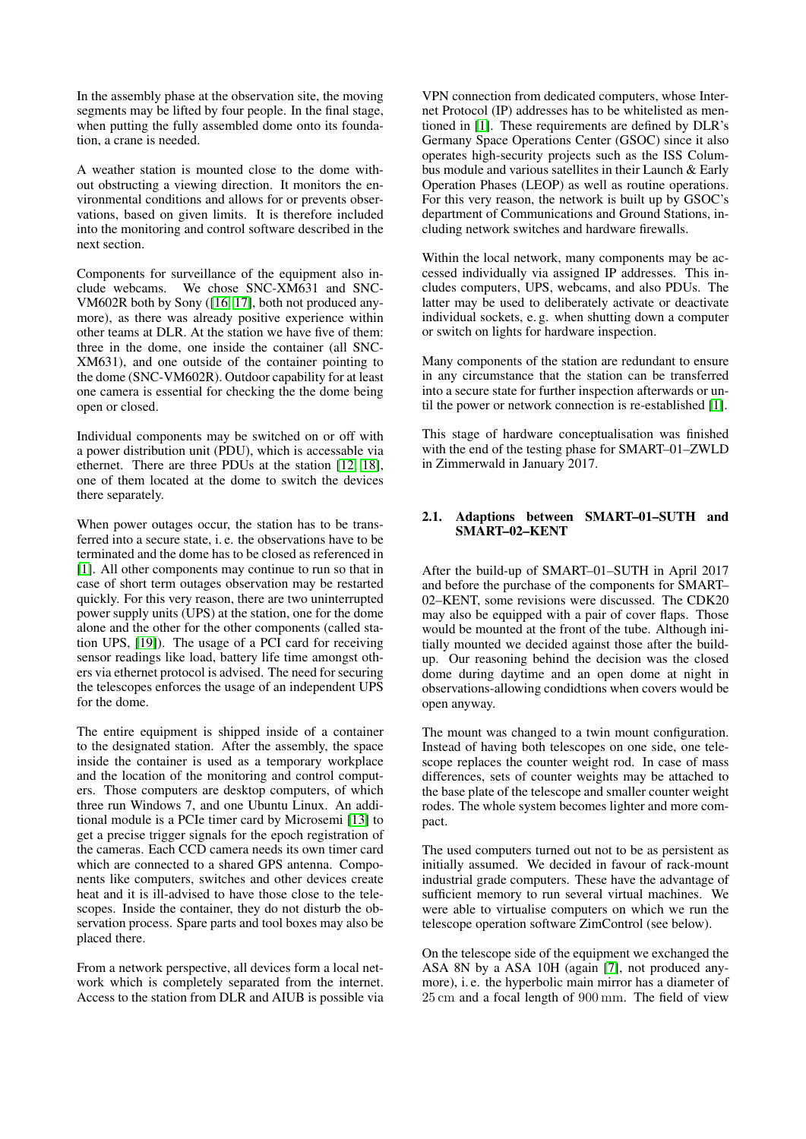In the assembly phase at the observation site, the moving segments may be lifted by four people. In the final stage, when putting the fully assembled dome onto its foundation, a crane is needed.

A weather station is mounted close to the dome without obstructing a viewing direction. It monitors the environmental conditions and allows for or prevents observations, based on given limits. It is therefore included into the monitoring and control software described in the next section.

Components for surveillance of the equipment also include webcams. We chose SNC-XM631 and SNC-VM602R both by Sony ([\[16,](#page-8-9) [17\]](#page-8-10), both not produced anymore), as there was already positive experience within other teams at DLR. At the station we have five of them: three in the dome, one inside the container (all SNC-XM631), and one outside of the container pointing to the dome (SNC-VM602R). Outdoor capability for at least one camera is essential for checking the the dome being open or closed.

Individual components may be switched on or off with a power distribution unit (PDU), which is accessable via ethernet. There are three PDUs at the station [\[12,](#page-8-11) [18\]](#page-8-12), one of them located at the dome to switch the devices there separately.

When power outages occur, the station has to be transferred into a secure state, i. e. the observations have to be terminated and the dome has to be closed as referenced in [\[1\]](#page-8-0). All other components may continue to run so that in case of short term outages observation may be restarted quickly. For this very reason, there are two uninterrupted power supply units (UPS) at the station, one for the dome alone and the other for the other components (called station UPS, [\[19\]](#page-8-13)). The usage of a PCI card for receiving sensor readings like load, battery life time amongst others via ethernet protocol is advised. The need for securing the telescopes enforces the usage of an independent UPS for the dome.

The entire equipment is shipped inside of a container to the designated station. After the assembly, the space inside the container is used as a temporary workplace and the location of the monitoring and control computers. Those computers are desktop computers, of which three run Windows 7, and one Ubuntu Linux. An additional module is a PCIe timer card by Microsemi [\[13\]](#page-8-14) to get a precise trigger signals for the epoch registration of the cameras. Each CCD camera needs its own timer card which are connected to a shared GPS antenna. Components like computers, switches and other devices create heat and it is ill-advised to have those close to the telescopes. Inside the container, they do not disturb the observation process. Spare parts and tool boxes may also be placed there.

From a network perspective, all devices form a local network which is completely separated from the internet. Access to the station from DLR and AIUB is possible via VPN connection from dedicated computers, whose Internet Protocol (IP) addresses has to be whitelisted as mentioned in [\[1\]](#page-8-0). These requirements are defined by DLR's Germany Space Operations Center (GSOC) since it also operates high-security projects such as the ISS Columbus module and various satellites in their Launch & Early Operation Phases (LEOP) as well as routine operations. For this very reason, the network is built up by GSOC's department of Communications and Ground Stations, including network switches and hardware firewalls.

Within the local network, many components may be accessed individually via assigned IP addresses. This includes computers, UPS, webcams, and also PDUs. The latter may be used to deliberately activate or deactivate individual sockets, e. g. when shutting down a computer or switch on lights for hardware inspection.

Many components of the station are redundant to ensure in any circumstance that the station can be transferred into a secure state for further inspection afterwards or until the power or network connection is re-established [\[1\]](#page-8-0).

This stage of hardware conceptualisation was finished with the end of the testing phase for SMART–01–ZWLD in Zimmerwald in January 2017.

### 2.1. Adaptions between SMART–01–SUTH and SMART–02–KENT

After the build-up of SMART–01–SUTH in April 2017 and before the purchase of the components for SMART– 02–KENT, some revisions were discussed. The CDK20 may also be equipped with a pair of cover flaps. Those would be mounted at the front of the tube. Although initially mounted we decided against those after the buildup. Our reasoning behind the decision was the closed dome during daytime and an open dome at night in observations-allowing condidtions when covers would be open anyway.

The mount was changed to a twin mount configuration. Instead of having both telescopes on one side, one telescope replaces the counter weight rod. In case of mass differences, sets of counter weights may be attached to the base plate of the telescope and smaller counter weight rodes. The whole system becomes lighter and more compact.

The used computers turned out not to be as persistent as initially assumed. We decided in favour of rack-mount industrial grade computers. These have the advantage of sufficient memory to run several virtual machines. We were able to virtualise computers on which we run the telescope operation software ZimControl (see below).

On the telescope side of the equipment we exchanged the ASA 8N by a ASA 10H (again [\[7\]](#page-8-3), not produced anymore), i. e. the hyperbolic main mirror has a diameter of 25 cm and a focal length of 900 mm. The field of view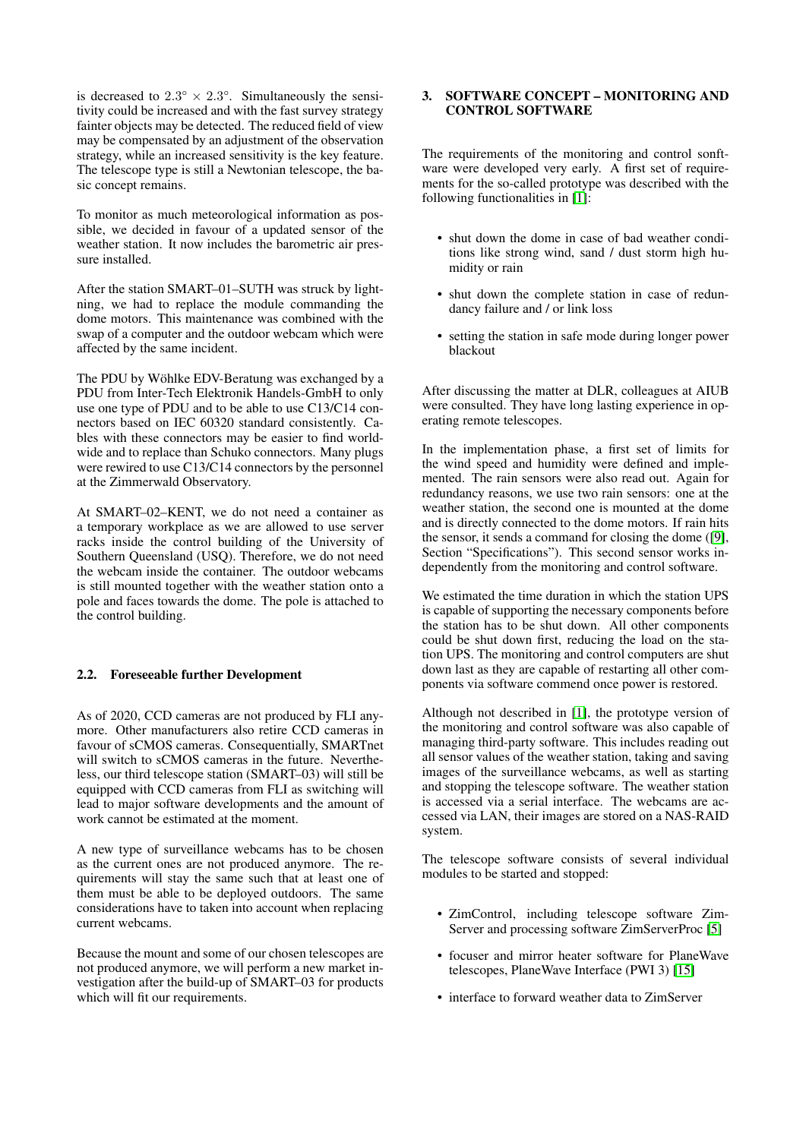is decreased to  $2.3^{\circ} \times 2.3^{\circ}$ . Simultaneously the sensitivity could be increased and with the fast survey strategy fainter objects may be detected. The reduced field of view may be compensated by an adjustment of the observation strategy, while an increased sensitivity is the key feature. The telescope type is still a Newtonian telescope, the basic concept remains.

To monitor as much meteorological information as possible, we decided in favour of a updated sensor of the weather station. It now includes the barometric air pressure installed.

After the station SMART–01–SUTH was struck by lightning, we had to replace the module commanding the dome motors. This maintenance was combined with the swap of a computer and the outdoor webcam which were affected by the same incident.

The PDU by Wöhlke EDV-Beratung was exchanged by a PDU from Inter-Tech Elektronik Handels-GmbH to only use one type of PDU and to be able to use C13/C14 connectors based on IEC 60320 standard consistently. Cables with these connectors may be easier to find worldwide and to replace than Schuko connectors. Many plugs were rewired to use C13/C14 connectors by the personnel at the Zimmerwald Observatory.

At SMART–02–KENT, we do not need a container as a temporary workplace as we are allowed to use server racks inside the control building of the University of Southern Queensland (USQ). Therefore, we do not need the webcam inside the container. The outdoor webcams is still mounted together with the weather station onto a pole and faces towards the dome. The pole is attached to the control building.

#### 2.2. Foreseeable further Development

As of 2020, CCD cameras are not produced by FLI anymore. Other manufacturers also retire CCD cameras in favour of sCMOS cameras. Consequentially, SMARTnet will switch to sCMOS cameras in the future. Nevertheless, our third telescope station (SMART–03) will still be equipped with CCD cameras from FLI as switching will lead to major software developments and the amount of work cannot be estimated at the moment.

A new type of surveillance webcams has to be chosen as the current ones are not produced anymore. The requirements will stay the same such that at least one of them must be able to be deployed outdoors. The same considerations have to taken into account when replacing current webcams.

Because the mount and some of our chosen telescopes are not produced anymore, we will perform a new market investigation after the build-up of SMART–03 for products which will fit our requirements.

## 3. SOFTWARE CONCEPT – MONITORING AND CONTROL SOFTWARE

The requirements of the monitoring and control sonftware were developed very early. A first set of requirements for the so-called prototype was described with the following functionalities in [\[1\]](#page-8-0):

- shut down the dome in case of bad weather conditions like strong wind, sand / dust storm high humidity or rain
- shut down the complete station in case of redundancy failure and / or link loss
- setting the station in safe mode during longer power blackout

After discussing the matter at DLR, colleagues at AIUB were consulted. They have long lasting experience in operating remote telescopes.

In the implementation phase, a first set of limits for the wind speed and humidity were defined and implemented. The rain sensors were also read out. Again for redundancy reasons, we use two rain sensors: one at the weather station, the second one is mounted at the dome and is directly connected to the dome motors. If rain hits the sensor, it sends a command for closing the dome ([\[9\]](#page-8-8), Section "Specifications"). This second sensor works independently from the monitoring and control software.

We estimated the time duration in which the station UPS is capable of supporting the necessary components before the station has to be shut down. All other components could be shut down first, reducing the load on the station UPS. The monitoring and control computers are shut down last as they are capable of restarting all other components via software commend once power is restored.

Although not described in [\[1\]](#page-8-0), the prototype version of the monitoring and control software was also capable of managing third-party software. This includes reading out all sensor values of the weather station, taking and saving images of the surveillance webcams, as well as starting and stopping the telescope software. The weather station is accessed via a serial interface. The webcams are accessed via LAN, their images are stored on a NAS-RAID system.

The telescope software consists of several individual modules to be started and stopped:

- ZimControl, including telescope software Zim-Server and processing software ZimServerProc [\[5\]](#page-8-15)
- focuser and mirror heater software for PlaneWave telescopes, PlaneWave Interface (PWI 3) [\[15\]](#page-8-16)
- interface to forward weather data to ZimServer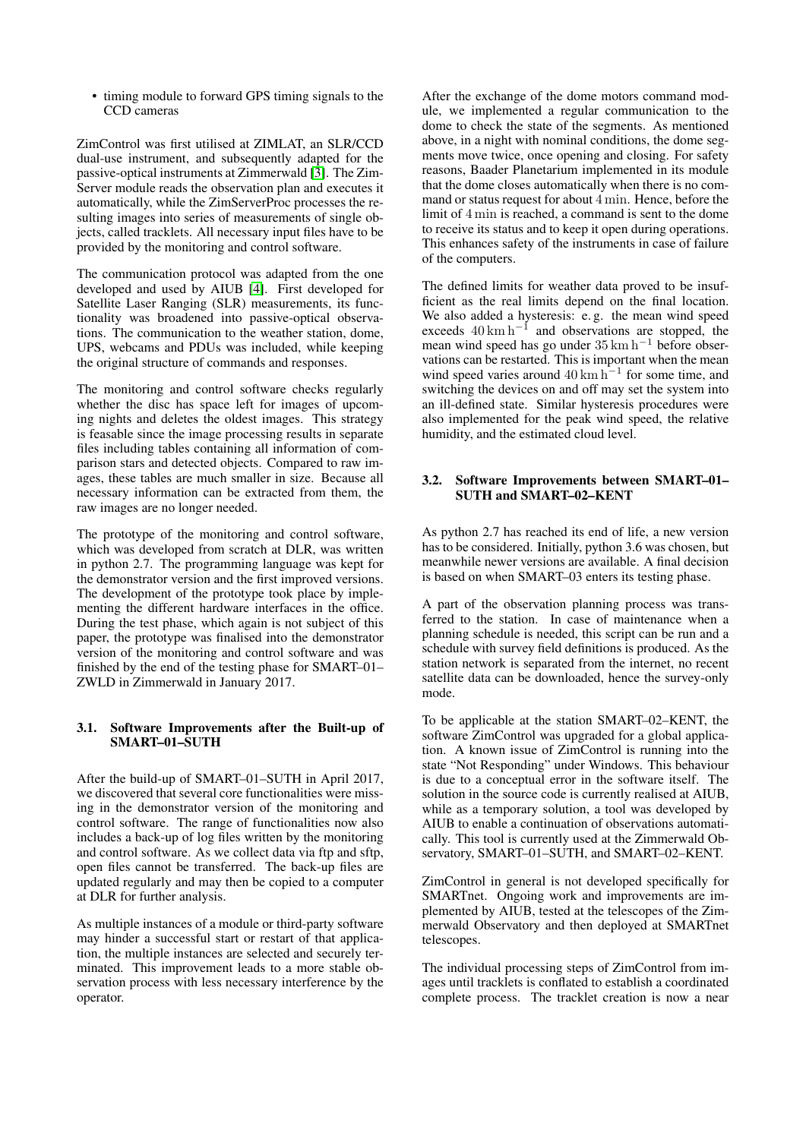• timing module to forward GPS timing signals to the CCD cameras

ZimControl was first utilised at ZIMLAT, an SLR/CCD dual-use instrument, and subsequently adapted for the passive-optical instruments at Zimmerwald [\[3\]](#page-8-17). The Zim-Server module reads the observation plan and executes it automatically, while the ZimServerProc processes the resulting images into series of measurements of single objects, called tracklets. All necessary input files have to be provided by the monitoring and control software.

The communication protocol was adapted from the one developed and used by AIUB [\[4\]](#page-8-18). First developed for Satellite Laser Ranging (SLR) measurements, its functionality was broadened into passive-optical observations. The communication to the weather station, dome, UPS, webcams and PDUs was included, while keeping the original structure of commands and responses.

The monitoring and control software checks regularly whether the disc has space left for images of upcoming nights and deletes the oldest images. This strategy is feasable since the image processing results in separate files including tables containing all information of comparison stars and detected objects. Compared to raw images, these tables are much smaller in size. Because all necessary information can be extracted from them, the raw images are no longer needed.

The prototype of the monitoring and control software, which was developed from scratch at DLR, was written in python 2.7. The programming language was kept for the demonstrator version and the first improved versions. The development of the prototype took place by implementing the different hardware interfaces in the office. During the test phase, which again is not subject of this paper, the prototype was finalised into the demonstrator version of the monitoring and control software and was finished by the end of the testing phase for SMART–01– ZWLD in Zimmerwald in January 2017.

#### 3.1. Software Improvements after the Built-up of SMART–01–SUTH

After the build-up of SMART–01–SUTH in April 2017, we discovered that several core functionalities were missing in the demonstrator version of the monitoring and control software. The range of functionalities now also includes a back-up of log files written by the monitoring and control software. As we collect data via ftp and sftp, open files cannot be transferred. The back-up files are updated regularly and may then be copied to a computer at DLR for further analysis.

As multiple instances of a module or third-party software may hinder a successful start or restart of that application, the multiple instances are selected and securely terminated. This improvement leads to a more stable observation process with less necessary interference by the operator.

After the exchange of the dome motors command module, we implemented a regular communication to the dome to check the state of the segments. As mentioned above, in a night with nominal conditions, the dome segments move twice, once opening and closing. For safety reasons, Baader Planetarium implemented in its module that the dome closes automatically when there is no command or status request for about 4 min. Hence, before the limit of 4 min is reached, a command is sent to the dome to receive its status and to keep it open during operations. This enhances safety of the instruments in case of failure of the computers.

The defined limits for weather data proved to be insufficient as the real limits depend on the final location. We also added a hysteresis: e. g. the mean wind speed exceeds  $40 \text{ km h}^{-1}$  and observations are stopped, the mean wind speed has go under 35 km h−<sup>1</sup> before observations can be restarted. This is important when the mean wind speed varies around  $40 \text{ km h}^{-1}$  for some time, and switching the devices on and off may set the system into an ill-defined state. Similar hysteresis procedures were also implemented for the peak wind speed, the relative humidity, and the estimated cloud level.

### 3.2. Software Improvements between SMART–01– SUTH and SMART–02–KENT

As python 2.7 has reached its end of life, a new version has to be considered. Initially, python 3.6 was chosen, but meanwhile newer versions are available. A final decision is based on when SMART–03 enters its testing phase.

A part of the observation planning process was transferred to the station. In case of maintenance when a planning schedule is needed, this script can be run and a schedule with survey field definitions is produced. As the station network is separated from the internet, no recent satellite data can be downloaded, hence the survey-only mode.

To be applicable at the station SMART–02–KENT, the software ZimControl was upgraded for a global application. A known issue of ZimControl is running into the state "Not Responding" under Windows. This behaviour is due to a conceptual error in the software itself. The solution in the source code is currently realised at AIUB, while as a temporary solution, a tool was developed by AIUB to enable a continuation of observations automatically. This tool is currently used at the Zimmerwald Observatory, SMART–01–SUTH, and SMART–02–KENT.

ZimControl in general is not developed specifically for SMARTnet. Ongoing work and improvements are implemented by AIUB, tested at the telescopes of the Zimmerwald Observatory and then deployed at SMARTnet telescopes.

The individual processing steps of ZimControl from images until tracklets is conflated to establish a coordinated complete process. The tracklet creation is now a near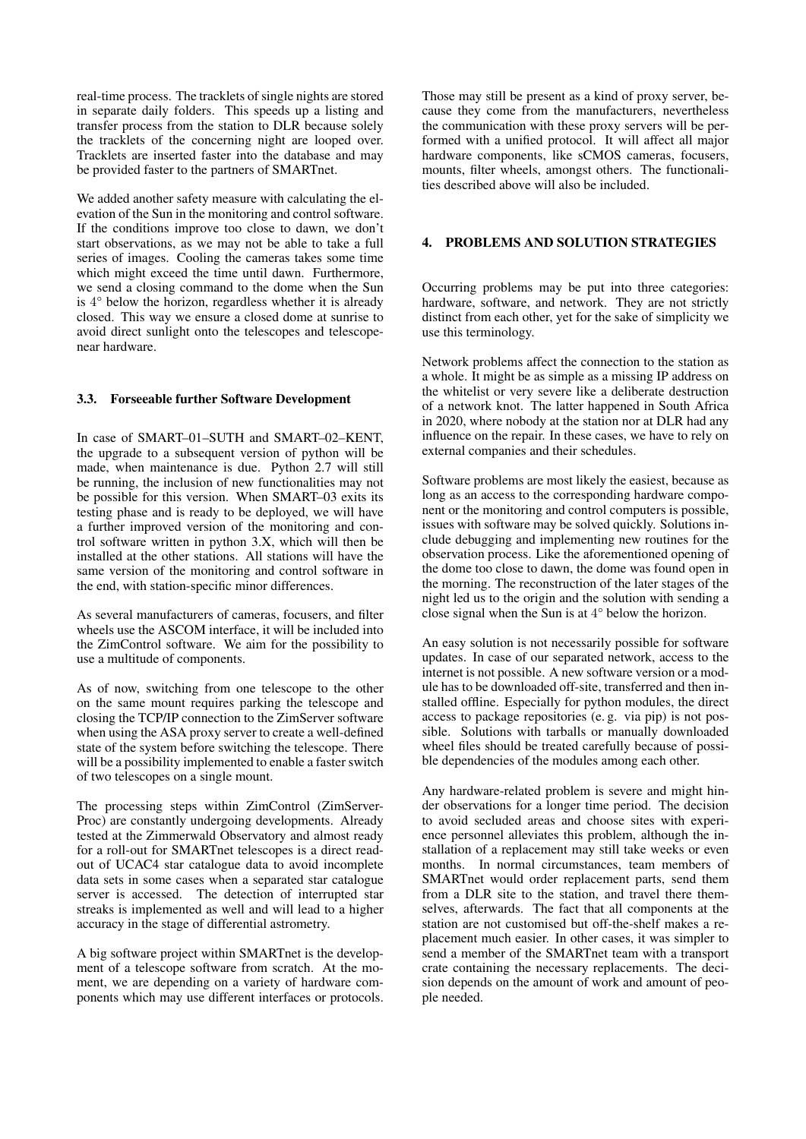real-time process. The tracklets of single nights are stored in separate daily folders. This speeds up a listing and transfer process from the station to DLR because solely the tracklets of the concerning night are looped over. Tracklets are inserted faster into the database and may be provided faster to the partners of SMARTnet.

We added another safety measure with calculating the elevation of the Sun in the monitoring and control software. If the conditions improve too close to dawn, we don't start observations, as we may not be able to take a full series of images. Cooling the cameras takes some time which might exceed the time until dawn. Furthermore, we send a closing command to the dome when the Sun is 4° below the horizon, regardless whether it is already closed. This way we ensure a closed dome at sunrise to avoid direct sunlight onto the telescopes and telescopenear hardware.

### 3.3. Forseeable further Software Development

In case of SMART–01–SUTH and SMART–02–KENT, the upgrade to a subsequent version of python will be made, when maintenance is due. Python 2.7 will still be running, the inclusion of new functionalities may not be possible for this version. When SMART–03 exits its testing phase and is ready to be deployed, we will have a further improved version of the monitoring and control software written in python 3.X, which will then be installed at the other stations. All stations will have the same version of the monitoring and control software in the end, with station-specific minor differences.

As several manufacturers of cameras, focusers, and filter wheels use the ASCOM interface, it will be included into the ZimControl software. We aim for the possibility to use a multitude of components.

As of now, switching from one telescope to the other on the same mount requires parking the telescope and closing the TCP/IP connection to the ZimServer software when using the ASA proxy server to create a well-defined state of the system before switching the telescope. There will be a possibility implemented to enable a faster switch of two telescopes on a single mount.

The processing steps within ZimControl (ZimServer-Proc) are constantly undergoing developments. Already tested at the Zimmerwald Observatory and almost ready for a roll-out for SMARTnet telescopes is a direct readout of UCAC4 star catalogue data to avoid incomplete data sets in some cases when a separated star catalogue server is accessed. The detection of interrupted star streaks is implemented as well and will lead to a higher accuracy in the stage of differential astrometry.

A big software project within SMARTnet is the development of a telescope software from scratch. At the moment, we are depending on a variety of hardware components which may use different interfaces or protocols. Those may still be present as a kind of proxy server, because they come from the manufacturers, nevertheless the communication with these proxy servers will be performed with a unified protocol. It will affect all major hardware components, like sCMOS cameras, focusers, mounts, filter wheels, amongst others. The functionalities described above will also be included.

## 4. PROBLEMS AND SOLUTION STRATEGIES

Occurring problems may be put into three categories: hardware, software, and network. They are not strictly distinct from each other, yet for the sake of simplicity we use this terminology.

Network problems affect the connection to the station as a whole. It might be as simple as a missing IP address on the whitelist or very severe like a deliberate destruction of a network knot. The latter happened in South Africa in 2020, where nobody at the station nor at DLR had any influence on the repair. In these cases, we have to rely on external companies and their schedules.

Software problems are most likely the easiest, because as long as an access to the corresponding hardware component or the monitoring and control computers is possible, issues with software may be solved quickly. Solutions include debugging and implementing new routines for the observation process. Like the aforementioned opening of the dome too close to dawn, the dome was found open in the morning. The reconstruction of the later stages of the night led us to the origin and the solution with sending a close signal when the Sun is at 4° below the horizon.

An easy solution is not necessarily possible for software updates. In case of our separated network, access to the internet is not possible. A new software version or a module has to be downloaded off-site, transferred and then installed offline. Especially for python modules, the direct access to package repositories (e. g. via pip) is not possible. Solutions with tarballs or manually downloaded wheel files should be treated carefully because of possible dependencies of the modules among each other.

Any hardware-related problem is severe and might hinder observations for a longer time period. The decision to avoid secluded areas and choose sites with experience personnel alleviates this problem, although the installation of a replacement may still take weeks or even months. In normal circumstances, team members of SMARTnet would order replacement parts, send them from a DLR site to the station, and travel there themselves, afterwards. The fact that all components at the station are not customised but off-the-shelf makes a replacement much easier. In other cases, it was simpler to send a member of the SMARTnet team with a transport crate containing the necessary replacements. The decision depends on the amount of work and amount of people needed.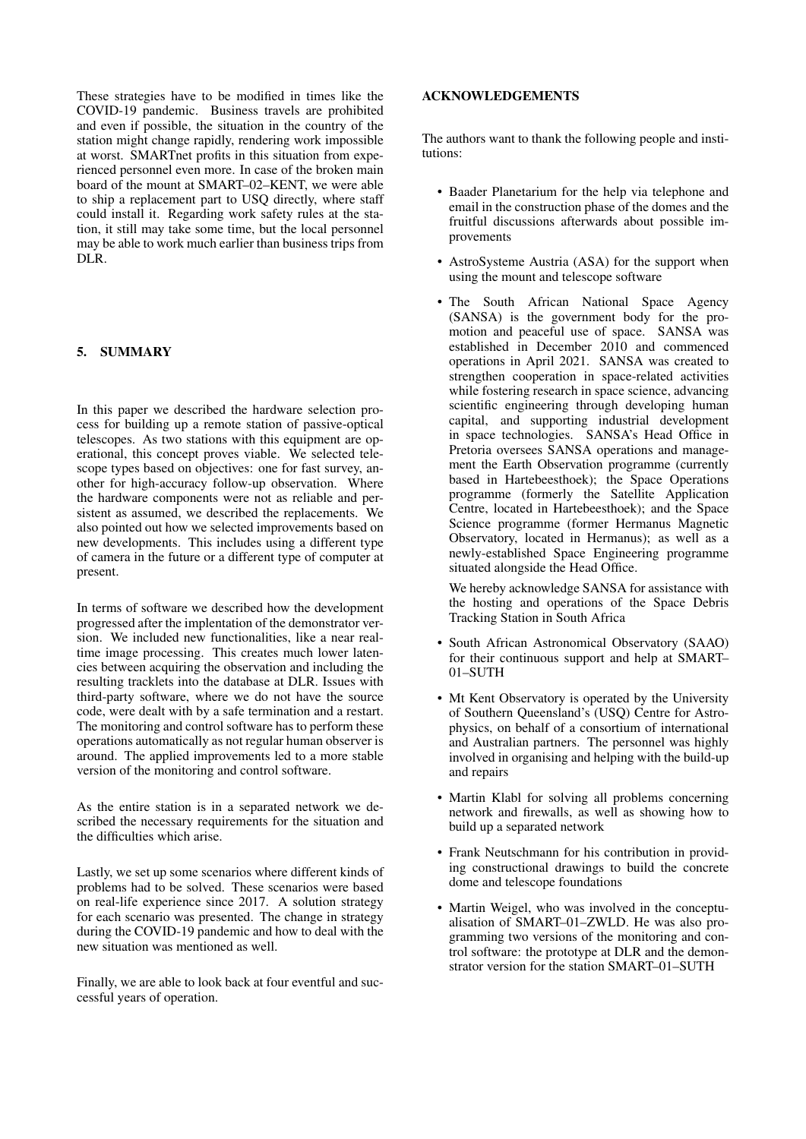These strategies have to be modified in times like the COVID-19 pandemic. Business travels are prohibited and even if possible, the situation in the country of the station might change rapidly, rendering work impossible at worst. SMARTnet profits in this situation from experienced personnel even more. In case of the broken main board of the mount at SMART–02–KENT, we were able to ship a replacement part to USQ directly, where staff could install it. Regarding work safety rules at the station, it still may take some time, but the local personnel may be able to work much earlier than business trips from DLR.

## 5. SUMMARY

In this paper we described the hardware selection process for building up a remote station of passive-optical telescopes. As two stations with this equipment are operational, this concept proves viable. We selected telescope types based on objectives: one for fast survey, another for high-accuracy follow-up observation. Where the hardware components were not as reliable and persistent as assumed, we described the replacements. We also pointed out how we selected improvements based on new developments. This includes using a different type of camera in the future or a different type of computer at present.

In terms of software we described how the development progressed after the implentation of the demonstrator version. We included new functionalities, like a near realtime image processing. This creates much lower latencies between acquiring the observation and including the resulting tracklets into the database at DLR. Issues with third-party software, where we do not have the source code, were dealt with by a safe termination and a restart. The monitoring and control software has to perform these operations automatically as not regular human observer is around. The applied improvements led to a more stable version of the monitoring and control software.

As the entire station is in a separated network we described the necessary requirements for the situation and the difficulties which arise.

Lastly, we set up some scenarios where different kinds of problems had to be solved. These scenarios were based on real-life experience since 2017. A solution strategy for each scenario was presented. The change in strategy during the COVID-19 pandemic and how to deal with the new situation was mentioned as well.

Finally, we are able to look back at four eventful and successful years of operation.

## ACKNOWLEDGEMENTS

The authors want to thank the following people and institutions:

- Baader Planetarium for the help via telephone and email in the construction phase of the domes and the fruitful discussions afterwards about possible improvements
- AstroSysteme Austria (ASA) for the support when using the mount and telescope software
- The South African National Space Agency (SANSA) is the government body for the promotion and peaceful use of space. SANSA was established in December 2010 and commenced operations in April 2021. SANSA was created to strengthen cooperation in space-related activities while fostering research in space science, advancing scientific engineering through developing human capital, and supporting industrial development in space technologies. SANSA's Head Office in Pretoria oversees SANSA operations and management the Earth Observation programme (currently based in Hartebeesthoek); the Space Operations programme (formerly the Satellite Application Centre, located in Hartebeesthoek); and the Space Science programme (former Hermanus Magnetic Observatory, located in Hermanus); as well as a newly-established Space Engineering programme situated alongside the Head Office.

We hereby acknowledge SANSA for assistance with the hosting and operations of the Space Debris Tracking Station in South Africa

- South African Astronomical Observatory (SAAO) for their continuous support and help at SMART– 01–SUTH
- Mt Kent Observatory is operated by the University of Southern Queensland's (USQ) Centre for Astrophysics, on behalf of a consortium of international and Australian partners. The personnel was highly involved in organising and helping with the build-up and repairs
- Martin Klabl for solving all problems concerning network and firewalls, as well as showing how to build up a separated network
- Frank Neutschmann for his contribution in providing constructional drawings to build the concrete dome and telescope foundations
- Martin Weigel, who was involved in the conceptualisation of SMART–01–ZWLD. He was also programming two versions of the monitoring and control software: the prototype at DLR and the demonstrator version for the station SMART–01–SUTH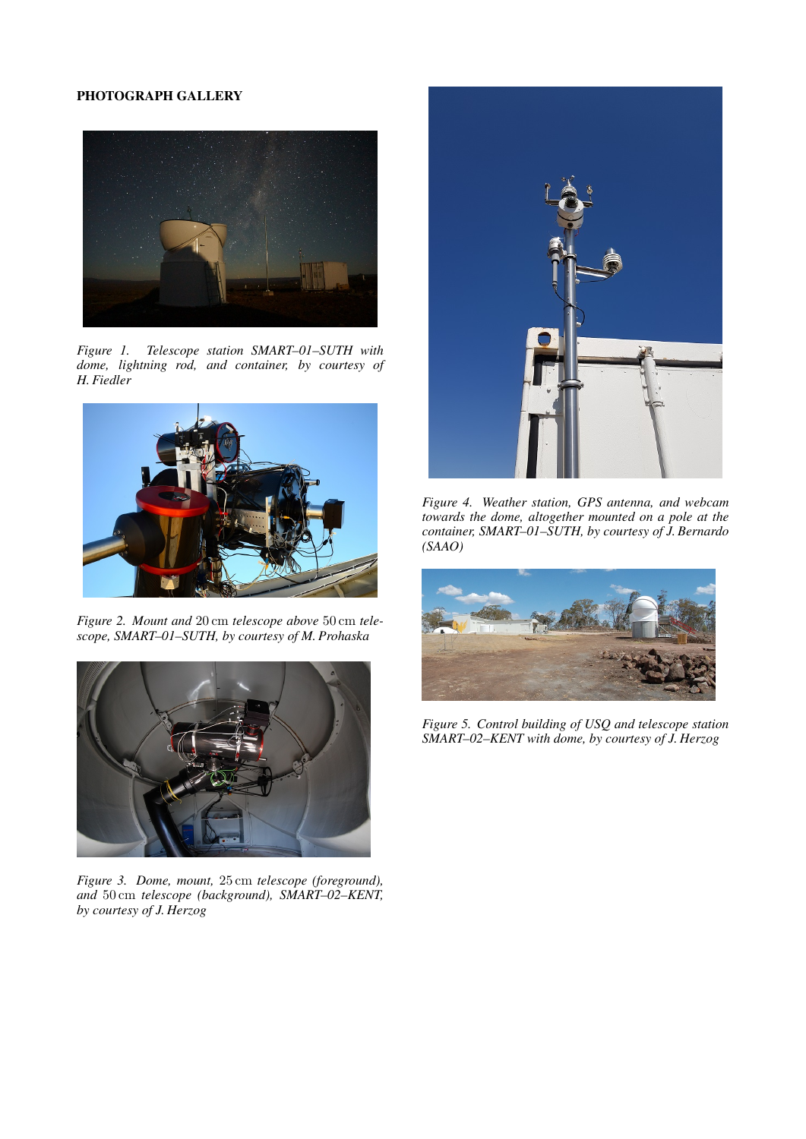# PHOTOGRAPH GALLERY



*Figure 1. Telescope station SMART–01–SUTH with dome, lightning rod, and container, by courtesy of H. Fiedler*



*Figure 2. Mount and* 20 cm *telescope above* 50 cm *telescope, SMART–01–SUTH, by courtesy of M. Prohaska*



*Figure 3. Dome, mount,* 25 cm *telescope (foreground), and* 50 cm *telescope (background), SMART–02–KENT, by courtesy of J. Herzog*



*Figure 4. Weather station, GPS antenna, and webcam towards the dome, altogether mounted on a pole at the container, SMART–01–SUTH, by courtesy of J. Bernardo (SAAO)*



*Figure 5. Control building of USQ and telescope station SMART–02–KENT with dome, by courtesy of J. Herzog*